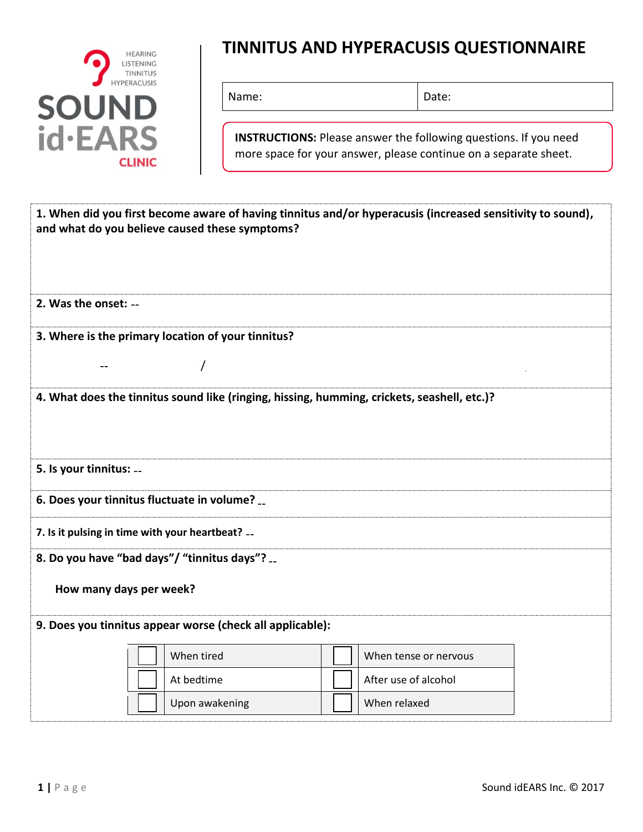

## **TINNITUS AND HYPERACUSIS QUESTIONNAIRE**

Name: Date:

**INSTRUCTIONS:** Please answer the following questions. If you need more space for your answer, please continue on a separate sheet.

|                         | and what do you believe caused these symptoms?            | 1. When did you first become aware of having tinnitus and/or hyperacusis (increased sensitivity to sound), |  |
|-------------------------|-----------------------------------------------------------|------------------------------------------------------------------------------------------------------------|--|
| 2. Was the onset: --    |                                                           |                                                                                                            |  |
|                         | 3. Where is the primary location of your tinnitus?        |                                                                                                            |  |
| --                      |                                                           |                                                                                                            |  |
|                         |                                                           | 4. What does the tinnitus sound like (ringing, hissing, humming, crickets, seashell, etc.)?                |  |
|                         |                                                           |                                                                                                            |  |
| 5. Is your tinnitus:    |                                                           |                                                                                                            |  |
|                         | 6. Does your tinnitus fluctuate in volume? __             |                                                                                                            |  |
|                         | 7. Is it pulsing in time with your heartbeat? --          |                                                                                                            |  |
|                         | 8. Do you have "bad days"/ "tinnitus days"?               |                                                                                                            |  |
| How many days per week? |                                                           |                                                                                                            |  |
|                         | 9. Does you tinnitus appear worse (check all applicable): |                                                                                                            |  |
|                         | When tired                                                | When tense or nervous                                                                                      |  |
|                         | At bedtime                                                | After use of alcohol                                                                                       |  |
|                         | Upon awakening                                            | When relaxed                                                                                               |  |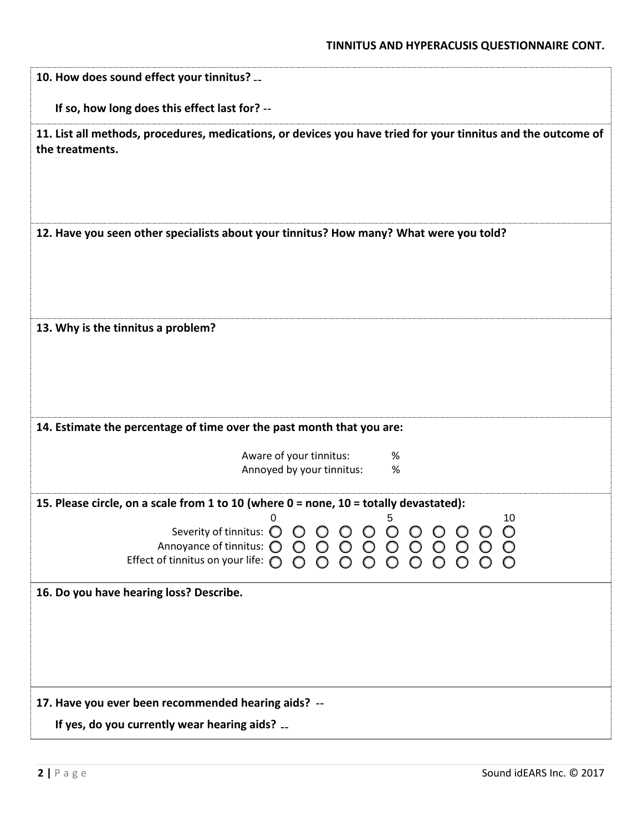| If so, how long does this effect last for? --                                                                                    |                                      |         |         |  |  |                 |
|----------------------------------------------------------------------------------------------------------------------------------|--------------------------------------|---------|---------|--|--|-----------------|
| 11. List all methods, procedures, medications, or devices you have tried for your tinnitus and the outcome of<br>the treatments. |                                      |         |         |  |  |                 |
| 12. Have you seen other specialists about your tinnitus? How many? What were you told?                                           |                                      |         |         |  |  |                 |
| 13. Why is the tinnitus a problem?                                                                                               |                                      |         |         |  |  |                 |
| 14. Estimate the percentage of time over the past month that you are:<br>Aware of your tinnitus:<br>Annoyed by your tinnitus:    |                                      |         | %<br>%  |  |  |                 |
|                                                                                                                                  |                                      |         |         |  |  |                 |
| 15. Please circle, on a scale from 1 to 10 (where 0 = none, 10 = totally devastated):<br>O                                       |                                      |         |         |  |  | 10              |
| Severity of tinnitus: O O O O O O O O O O<br>Annoyance of tinnitus: $\bigcirc$<br>Effect of tinnitus on your life: $\bigcirc$    | $\bigcirc$<br>$\circ$<br>$O$ $O$ $O$ | $\circ$ | $\circ$ |  |  | $\bigcirc$<br>O |
| 16. Do you have hearing loss? Describe.                                                                                          |                                      |         |         |  |  |                 |
|                                                                                                                                  |                                      |         |         |  |  |                 |
|                                                                                                                                  |                                      |         |         |  |  |                 |
| 17. Have you ever been recommended hearing aids? --                                                                              |                                      |         |         |  |  |                 |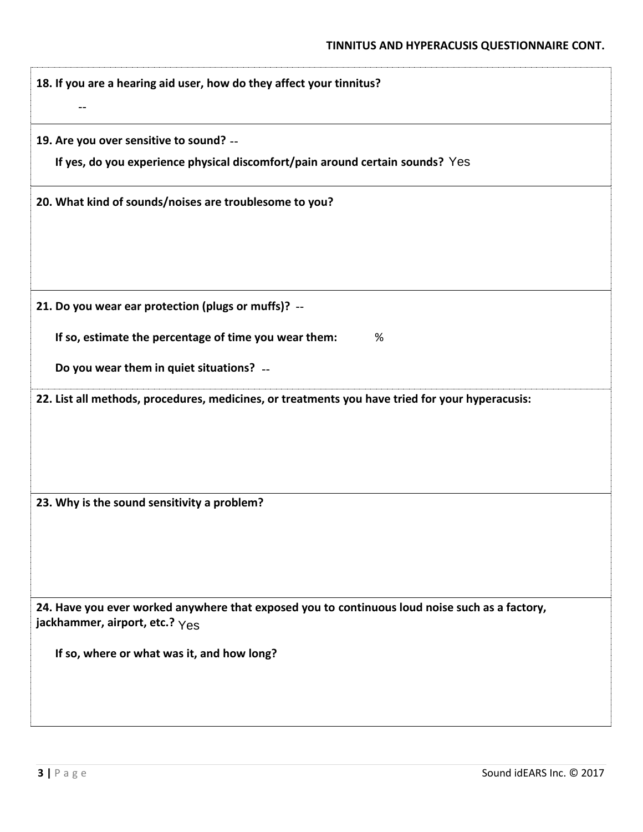| 18. If you are a hearing aid user, how do they affect your tinnitus?                                                             |
|----------------------------------------------------------------------------------------------------------------------------------|
| 19. Are you over sensitive to sound? --                                                                                          |
| If yes, do you experience physical discomfort/pain around certain sounds? Yes                                                    |
| 20. What kind of sounds/noises are troublesome to you?                                                                           |
|                                                                                                                                  |
| 21. Do you wear ear protection (plugs or muffs)? --                                                                              |
| If so, estimate the percentage of time you wear them:<br>%                                                                       |
| Do you wear them in quiet situations? --                                                                                         |
| 22. List all methods, procedures, medicines, or treatments you have tried for your hyperacusis:                                  |
| 23. Why is the sound sensitivity a problem?                                                                                      |
| 24. Have you ever worked anywhere that exposed you to continuous loud noise such as a factory,<br>jackhammer, airport, etc.? Yes |
| If so, where or what was it, and how long?                                                                                       |
|                                                                                                                                  |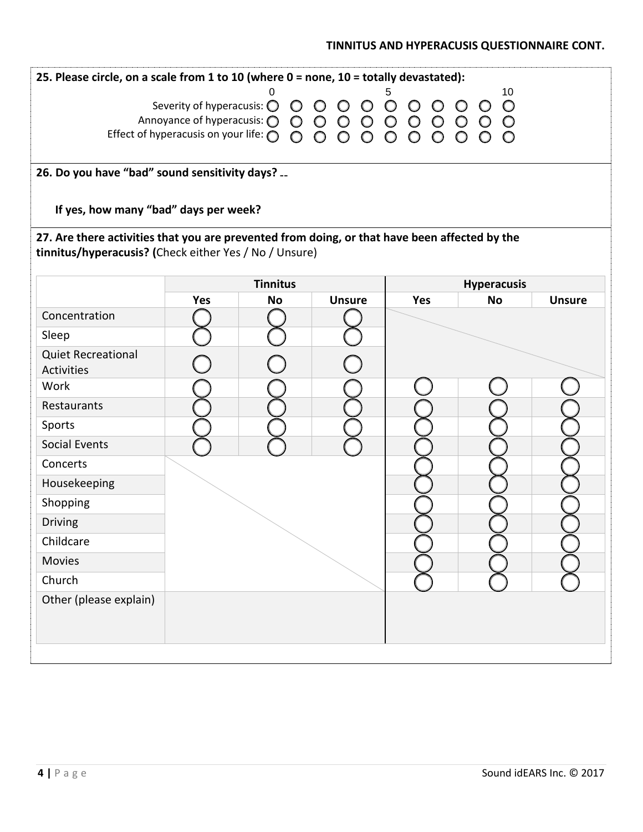## **TINNITUS AND HYPERACUSIS QUESTIONNAIRE CONT.**

| 25. Please circle, on a scale from 1 to 10 (where 0 = none, 10 = totally devastated):         |                                                                                                                                          |                 |               |            |                                 |               |  |  |  |
|-----------------------------------------------------------------------------------------------|------------------------------------------------------------------------------------------------------------------------------------------|-----------------|---------------|------------|---------------------------------|---------------|--|--|--|
| 10<br>5                                                                                       |                                                                                                                                          |                 |               |            |                                 |               |  |  |  |
|                                                                                               | Severity of hyperacusis: $0000000000$<br>Annoyance of hyperacusis: $000000000000$<br>Effect of hyperacusis on your life: $0000000000000$ |                 |               |            |                                 |               |  |  |  |
|                                                                                               |                                                                                                                                          |                 |               |            |                                 |               |  |  |  |
|                                                                                               | 26. Do you have "bad" sound sensitivity days?                                                                                            |                 |               |            |                                 |               |  |  |  |
| If yes, how many "bad" days per week?                                                         |                                                                                                                                          |                 |               |            |                                 |               |  |  |  |
| 27. Are there activities that you are prevented from doing, or that have been affected by the |                                                                                                                                          |                 |               |            |                                 |               |  |  |  |
| tinnitus/hyperacusis? (Check either Yes / No / Unsure)                                        |                                                                                                                                          |                 |               |            |                                 |               |  |  |  |
|                                                                                               |                                                                                                                                          | <b>Tinnitus</b> |               |            |                                 |               |  |  |  |
|                                                                                               | <b>Yes</b>                                                                                                                               | <b>No</b>       | <b>Unsure</b> | <b>Yes</b> | <b>Hyperacusis</b><br><b>No</b> | <b>Unsure</b> |  |  |  |
| Concentration                                                                                 |                                                                                                                                          |                 |               |            |                                 |               |  |  |  |
| Sleep                                                                                         |                                                                                                                                          |                 |               |            |                                 |               |  |  |  |
| <b>Quiet Recreational</b>                                                                     |                                                                                                                                          |                 |               |            |                                 |               |  |  |  |
| <b>Activities</b><br>Work                                                                     |                                                                                                                                          |                 |               |            |                                 |               |  |  |  |
| Restaurants                                                                                   |                                                                                                                                          |                 |               |            |                                 |               |  |  |  |
| Sports                                                                                        |                                                                                                                                          |                 |               |            |                                 |               |  |  |  |
| <b>Social Events</b>                                                                          |                                                                                                                                          |                 |               |            |                                 |               |  |  |  |
| Concerts                                                                                      |                                                                                                                                          |                 |               |            |                                 |               |  |  |  |
| Housekeeping                                                                                  |                                                                                                                                          |                 |               |            |                                 |               |  |  |  |
| Shopping                                                                                      |                                                                                                                                          |                 |               |            |                                 |               |  |  |  |
| <b>Driving</b>                                                                                |                                                                                                                                          |                 |               |            |                                 |               |  |  |  |
| Childcare                                                                                     |                                                                                                                                          |                 |               |            |                                 |               |  |  |  |
| <b>Movies</b>                                                                                 |                                                                                                                                          |                 |               |            |                                 |               |  |  |  |
| Church                                                                                        |                                                                                                                                          |                 |               |            |                                 |               |  |  |  |
| Other (please explain)                                                                        |                                                                                                                                          |                 |               |            |                                 |               |  |  |  |
|                                                                                               |                                                                                                                                          |                 |               |            |                                 |               |  |  |  |
|                                                                                               |                                                                                                                                          |                 |               |            |                                 |               |  |  |  |
|                                                                                               |                                                                                                                                          |                 |               |            |                                 |               |  |  |  |